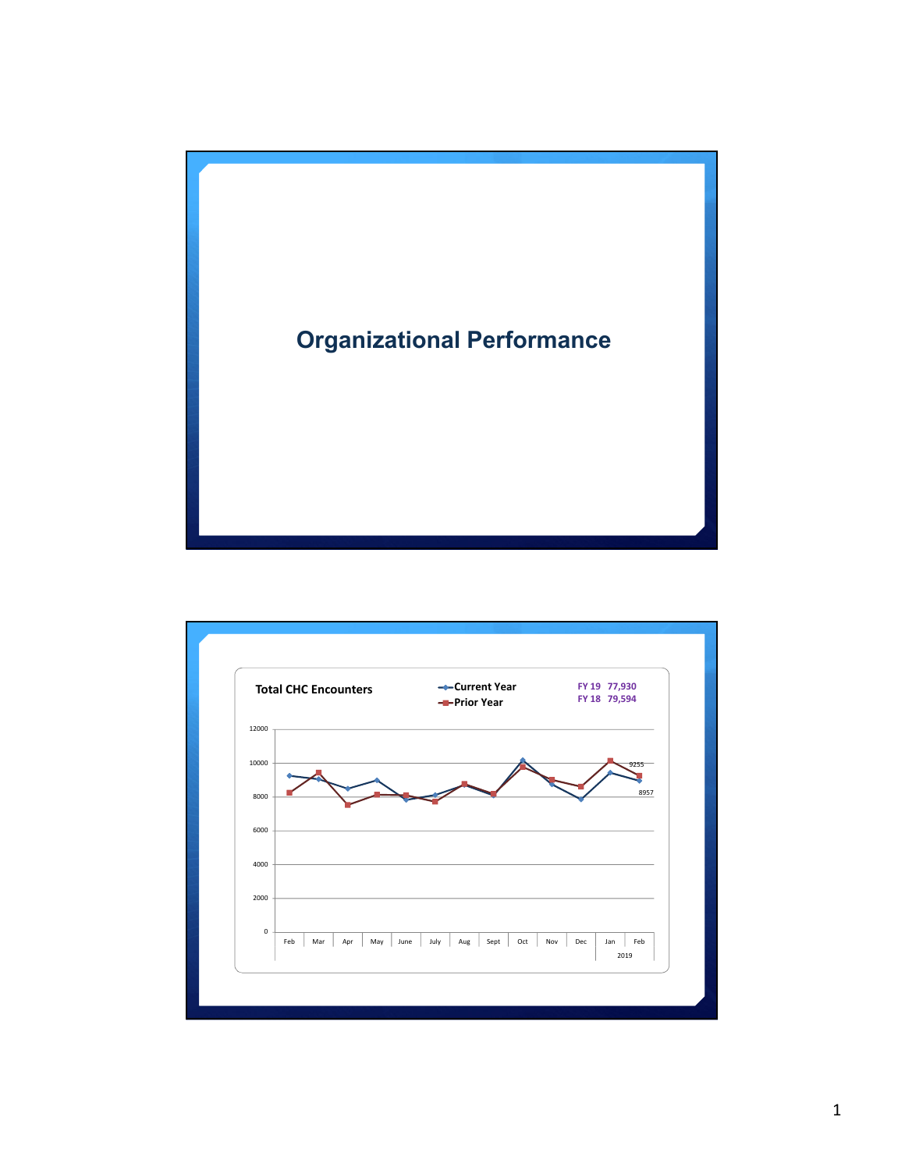

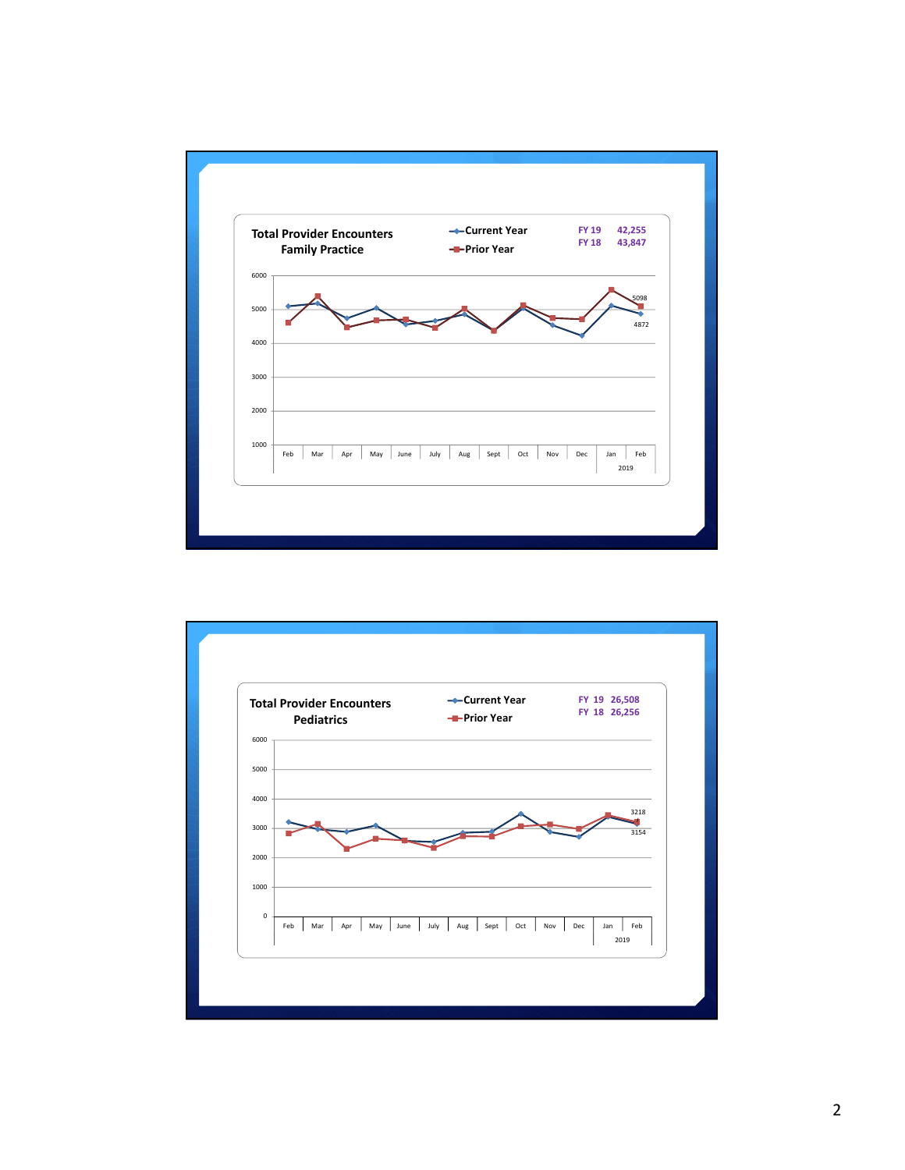

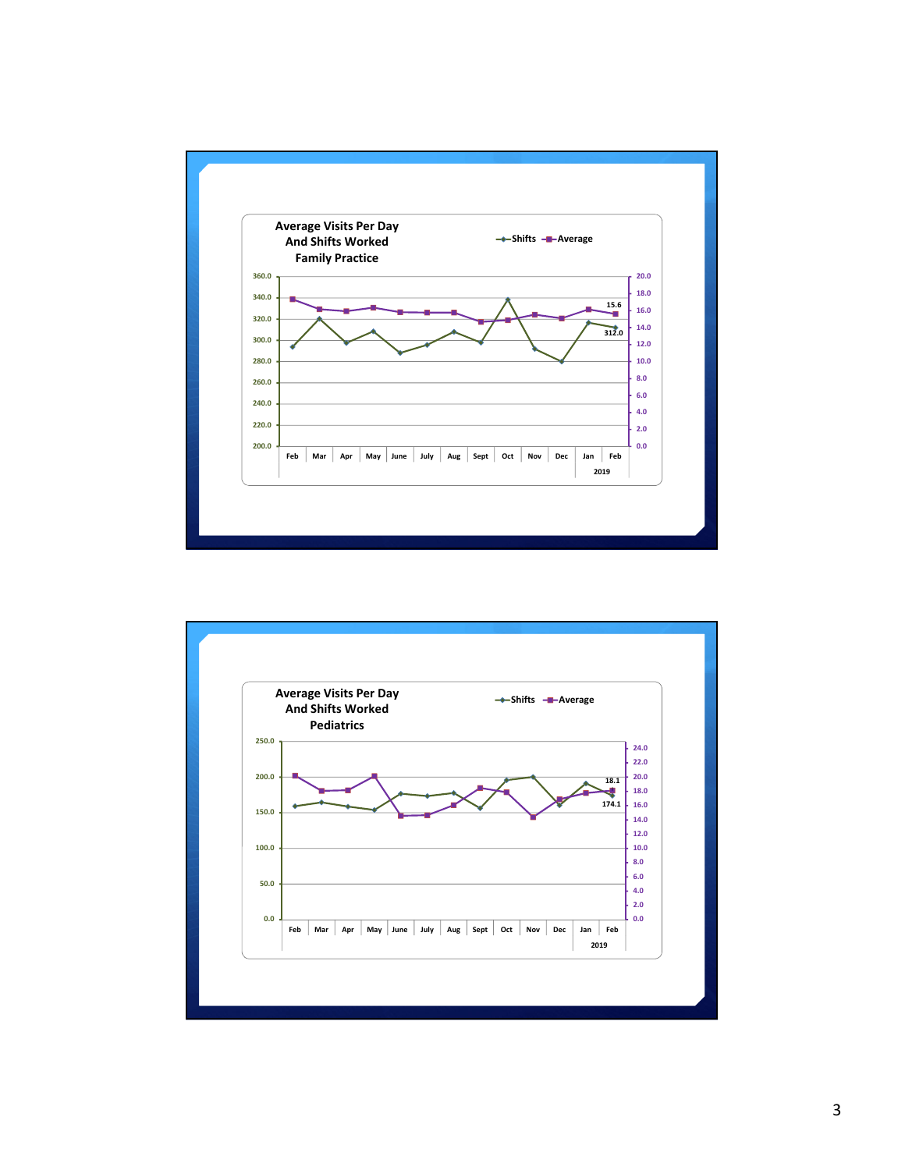

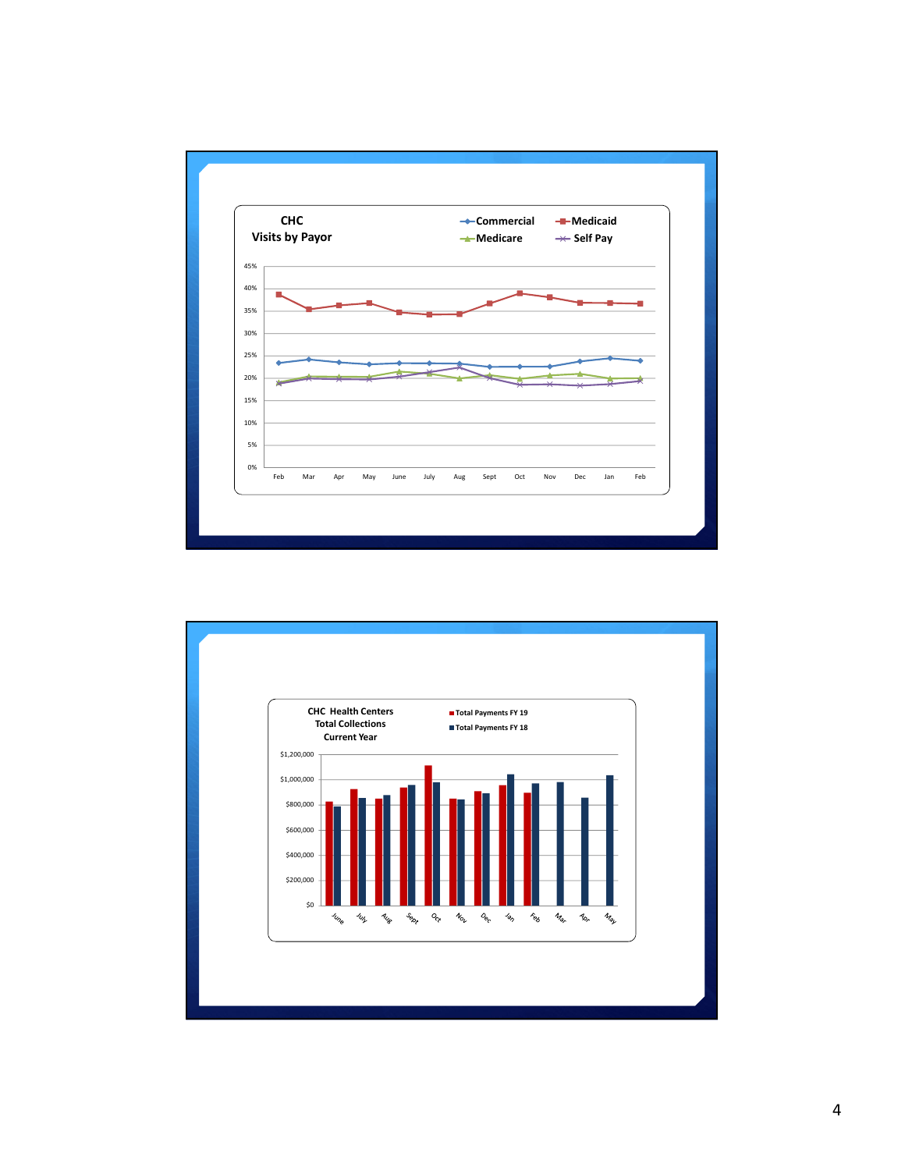

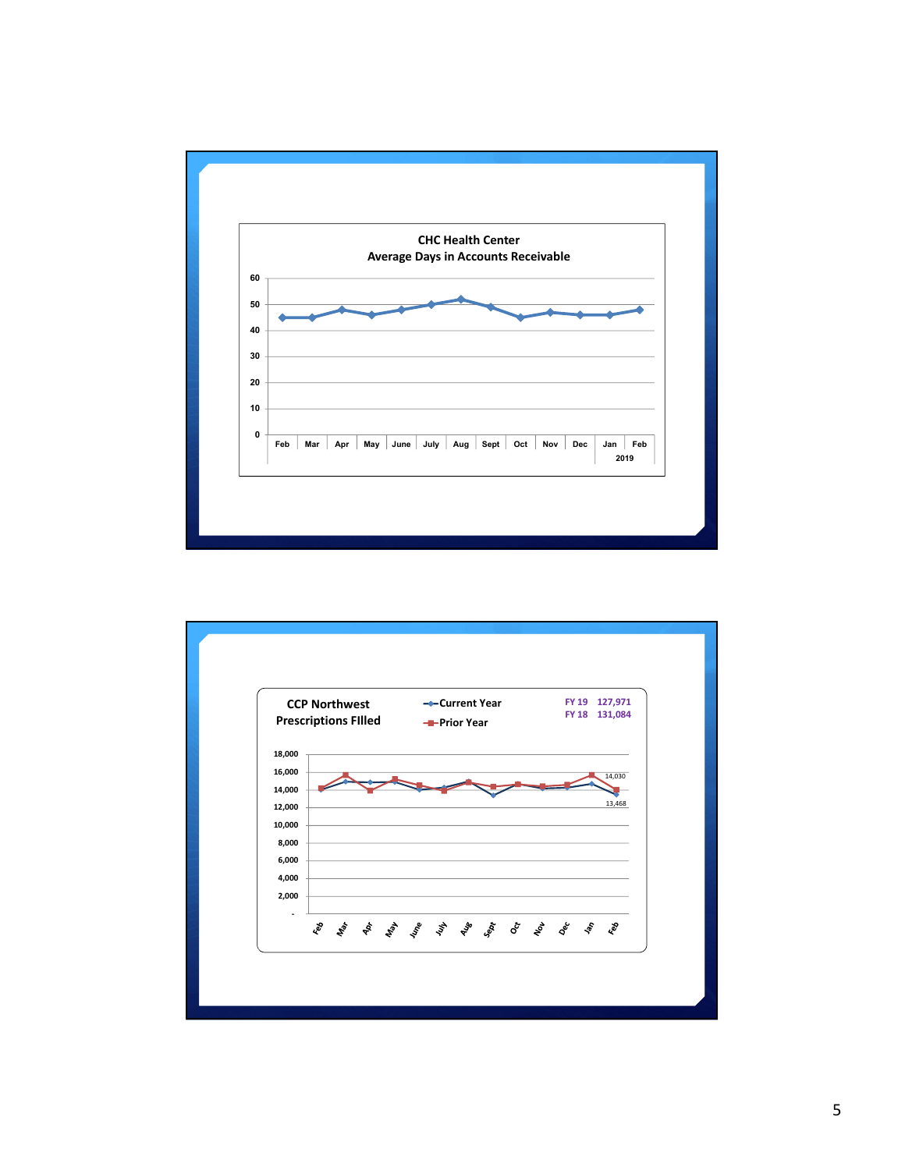

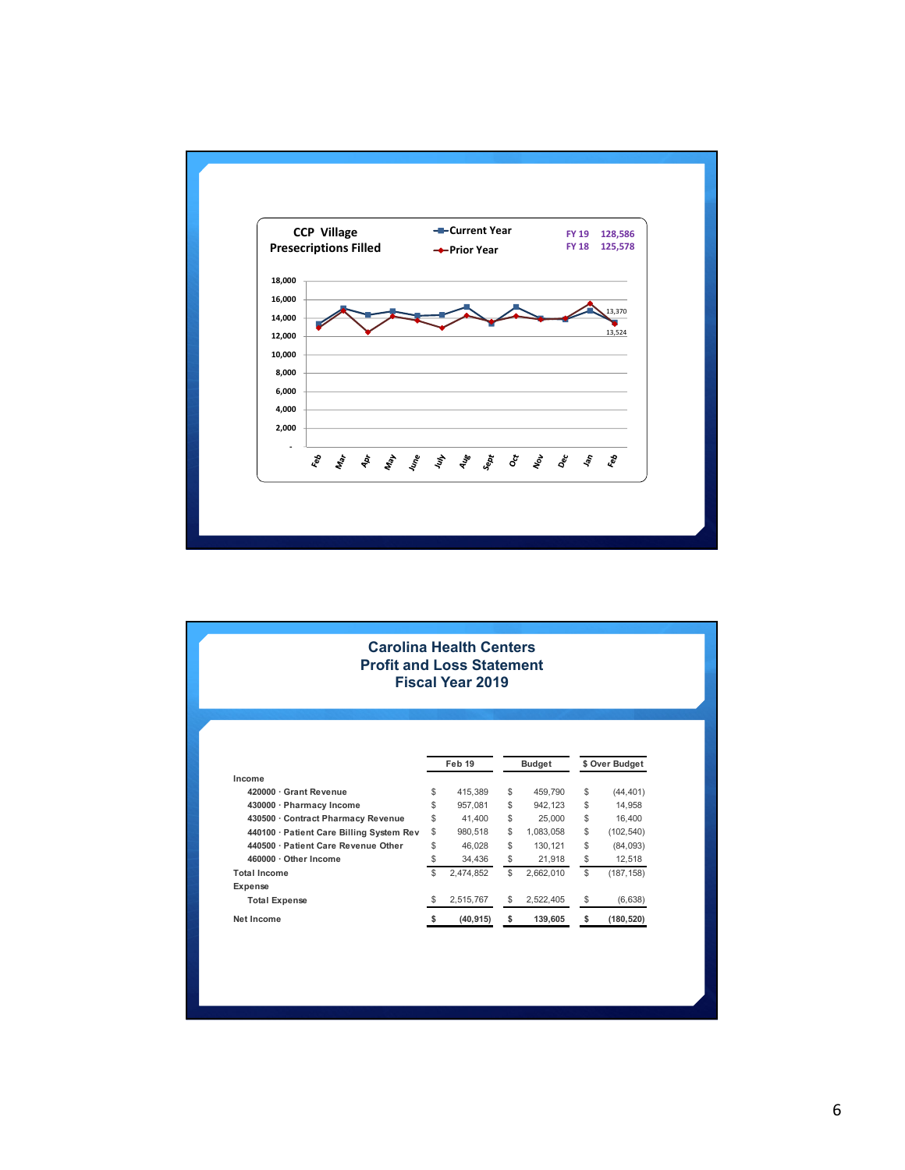

| <b>Carolina Health Centers</b><br><b>Profit and Loss Statement</b><br><b>Fiscal Year 2019</b> |        |           |               |           |                |            |  |  |
|-----------------------------------------------------------------------------------------------|--------|-----------|---------------|-----------|----------------|------------|--|--|
|                                                                                               | Feb 19 |           | <b>Budget</b> |           | \$ Over Budget |            |  |  |
| Income<br>420000 · Grant Revenue                                                              | \$     | 415.389   | \$            | 459.790   | \$             | (44, 401)  |  |  |
| 430000 · Pharmacy Income                                                                      | \$     | 957.081   | \$            | 942.123   | \$             | 14.958     |  |  |
| 430500 · Contract Pharmacy Revenue                                                            | \$     | 41.400    | \$            | 25,000    | \$             | 16.400     |  |  |
| 440100 · Patient Care Billing System Rev                                                      | \$     | 980.518   | \$            | 1,083,058 | \$             | (102, 540) |  |  |
| 440500 · Patient Care Revenue Other                                                           | \$     | 46.028    | \$            | 130.121   | \$             | (84,093)   |  |  |
| 460000 · Other Income                                                                         | \$     | 34,436    | \$            | 21,918    | \$             | 12,518     |  |  |
| <b>Total Income</b>                                                                           | \$     | 2,474,852 | $\mathbb{S}$  | 2,662,010 | \$             | (187, 158) |  |  |
|                                                                                               |        |           |               |           |                |            |  |  |
|                                                                                               |        |           |               |           |                |            |  |  |
| Expense<br><b>Total Expense</b>                                                               | \$     | 2,515,767 | \$            | 2,522,405 | \$             | (6,638)    |  |  |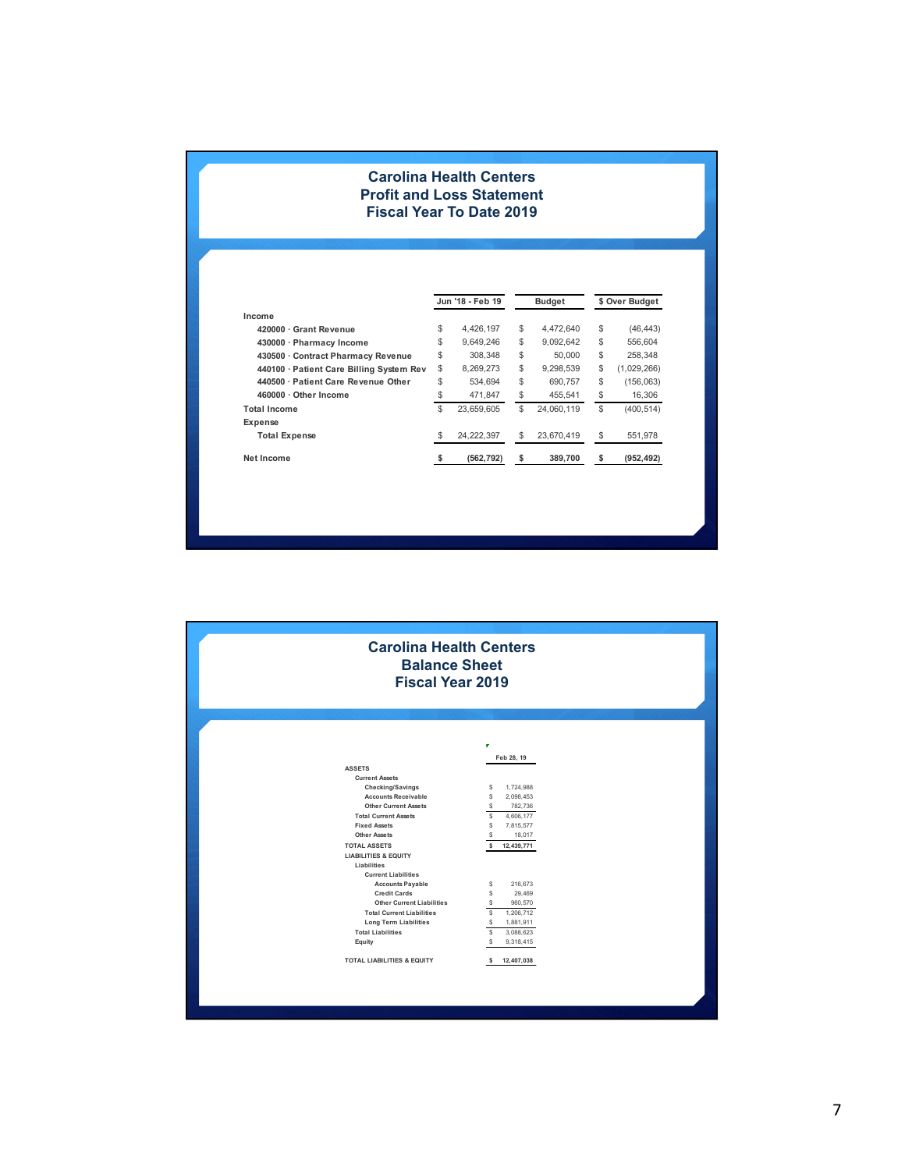## **Carolina Health Centers Profit and Loss Statement Fiscal Year To Date 2019**

|                                          |                | Jun '18 - Feb 19 |    | <b>Budget</b> | \$ Over Budget    |
|------------------------------------------|----------------|------------------|----|---------------|-------------------|
| Income                                   |                |                  |    |               |                   |
| 420000 · Grant Revenue                   | \$             | 4.426.197        | \$ | 4.472.640     | \$<br>(46, 443)   |
| 430000 · Pharmacy Income                 | \$             | 9.649.246        | \$ | 9.092.642     | \$<br>556,604     |
| 430500 · Contract Pharmacy Revenue       | \$             | 308.348          | \$ | 50,000        | \$<br>258.348     |
| 440100 · Patient Care Billing System Rev | \$             | 8,269,273        | \$ | 9,298,539     | \$<br>(1,029,266) |
| 440500 · Patient Care Revenue Other      | \$             | 534.694          | \$ | 690.757       | \$<br>(156, 063)  |
| 460000 · Other Income                    | \$             | 471.847          | \$ | 455.541       | \$<br>16,306      |
| <b>Total Income</b>                      | $$\mathbb{S}$$ | 23.659.605       | S  | 24.060.119    | \$<br>(400,514)   |
| Expense                                  |                |                  |    |               |                   |
| <b>Total Expense</b>                     | \$             | 24, 222, 397     | S  | 23,670,419    | \$<br>551,978     |
| Net Income                               | s              | (562, 792)       | \$ | 389,700       | \$<br>(952, 492)  |

| <b>Carolina Health Centers</b><br><b>Balance Sheet</b><br><b>Fiscal Year 2019</b>                                                                                                                                                                                                                                                                                                                                                                                                                                                         |                                                                                                                                                                                                                                                                                     |  |  |  |  |  |
|-------------------------------------------------------------------------------------------------------------------------------------------------------------------------------------------------------------------------------------------------------------------------------------------------------------------------------------------------------------------------------------------------------------------------------------------------------------------------------------------------------------------------------------------|-------------------------------------------------------------------------------------------------------------------------------------------------------------------------------------------------------------------------------------------------------------------------------------|--|--|--|--|--|
| <b>ASSETS</b><br><b>Current Assets</b><br>Checking/Savings<br><b>Accounts Receivable</b><br><b>Other Current Assets</b><br><b>Total Current Assets</b><br><b>Fixed Assets</b><br><b>Other Assets</b><br><b>TOTAL ASSETS</b><br><b>LIABILITIES &amp; EQUITY</b><br>Liabilities<br><b>Current Liabilities</b><br><b>Accounts Payable</b><br><b>Credit Cards</b><br><b>Other Current Liabilities</b><br><b>Total Current Liabilities</b><br><b>Long Term Liabilities</b><br><b>Total Liabilities</b><br>Equity<br>TOTAL LIABILITIES & EQUITY | п<br>Feb 28, 19<br>s<br>1,724,988<br>s<br>2,098,453<br>S<br>782,736<br>s<br>4,606,177<br>s<br>7,815,577<br>s<br>18,017<br>s<br>12,439,771<br>s<br>216,673<br>s<br>29,469<br>s<br>960,570<br>1,206,712<br>s<br>s<br>1,881,911<br>s<br>3,088,623<br>s<br>9,318,415<br>12,407,038<br>s |  |  |  |  |  |